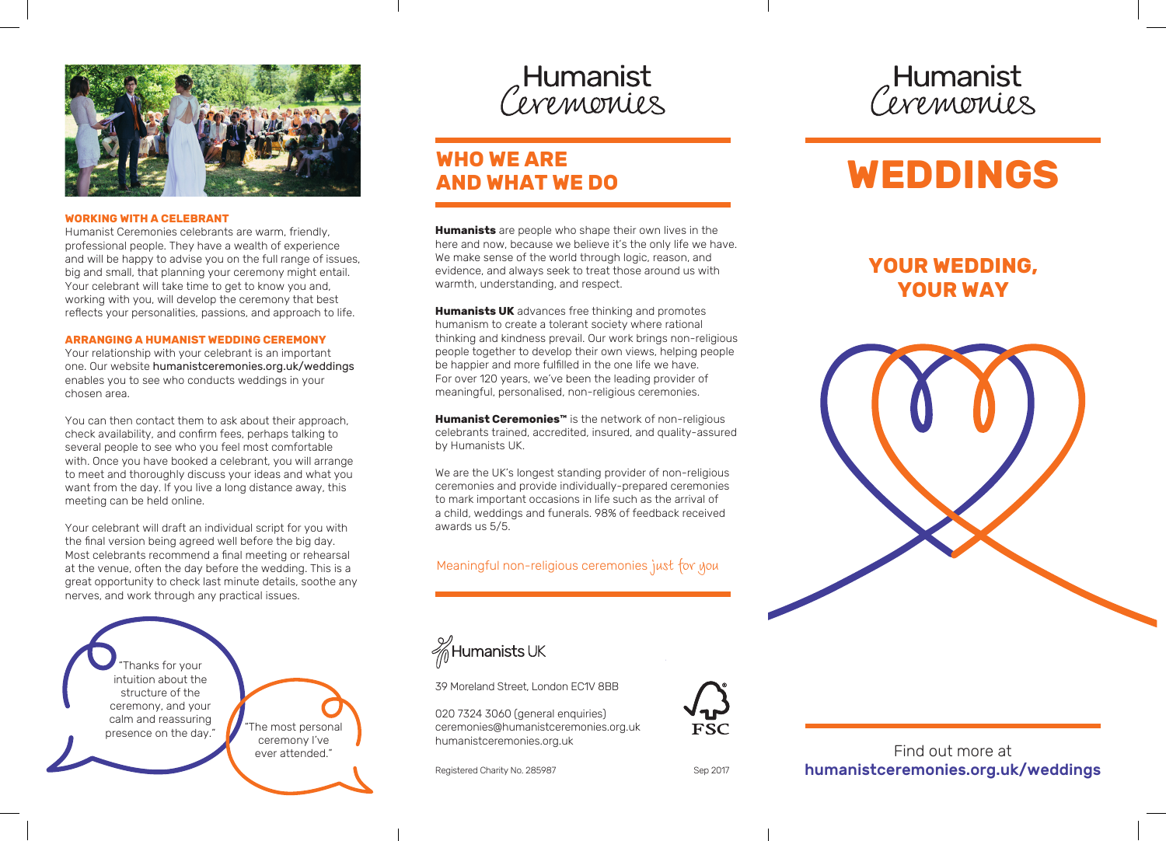

### **WORKING WITH A CELEBRANT**

Humanist Ceremonies celebrants are warm, friendly, professional people. They have a wealth of experience and will be happy to advise you on the full range of issues, big and small, that planning your ceremony might entail. Your celebrant will take time to get to know you and, working with you, will develop the ceremony that best reflects your personalities, passions, and approach to life.

#### **ARRANGING A HUMANIST WEDDING CEREMONY**

Your relationship with your celebrant is an important one. Our website humanistceremonies.org.uk/weddings enables you to see who conducts weddings in your chosen area.

You can then contact them to ask about their approach, check availability, and confirm fees, perhaps talking to several people to see who you feel most comfortable with. Once you have booked a celebrant, you will arrange to meet and thoroughly discuss your ideas and what you want from the day. If you live a long distance away, this meeting can be held online.

Your celebrant will draft an individual script for you with the final version being agreed well before the big day. Most celebrants recommend a final meeting or rehearsal at the venue, often the day before the wedding. This is a great opportunity to check last minute details, soothe any nerves, and work through any practical issues.

"Thanks for your intuition about the structure of the ceremony, and your calm and reassuring presence on the day."

The most personal ceremony I've ever attended."

Humanist Cevemonies

# **WHO WE ARE AND WHAT WE DO**

**Humanists** are people who shape their own lives in the here and now, because we believe it's the only life we have. We make sense of the world through logic, reason, and evidence, and always seek to treat those around us with warmth, understanding, and respect.

**Humanists UK** advances free thinking and promotes humanism to create a tolerant society where rational thinking and kindness prevail. Our work brings non-religious people together to develop their own views, helping people be happier and more fulfilled in the one life we have. For over 120 years, we've been the leading provider of meaningful, personalised, non-religious ceremonies.

**Humanist Ceremonies™** is the network of non-religious celebrants trained, accredited, insured, and quality-assured by Humanists UK.

We are the UK's longest standing provider of non-religious ceremonies and provide individually-prepared ceremonies to mark important occasions in life such as the arrival of a child, weddings and funerals. 98% of feedback received awards us 5/5.

Meaningful non-religious ceremonies just for you



39 Moreland Street, London EC1V 8BB

020 7324 3060 (general enquiries) ceremonies@humanistceremonies.org.uk humanistceremonies.org.uk

Registered Charity No. 285987

**FSC** 

Humanist<br>*Ceremonies* 

# **WEDDINGS**

# **YOUR WEDDING, YOUR WAY**





## Find out more at humanistceremonies.org.uk/weddings

Sep 2017